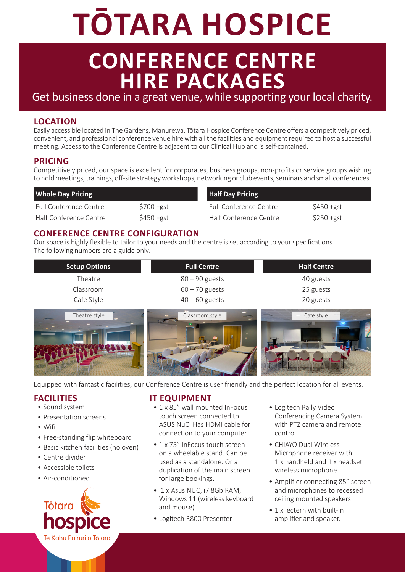# **TŌTARA HOSPICE**

## **CONFERENCE CENTRE HIRE PACKAGES**

Get business done in a great venue, while supporting your local charity.

#### **LOCATION**

Easily accessible located in The Gardens, Manurewa. Tōtara Hospice Conference Centre offers a competitively priced, convenient, and professional conference venue hire with all the facilities and equipment required to host a successful meeting. Access to the Conference Centre is adjacent to our Clinical Hub and is self-contained.

#### **PRICING**

Competitively priced, our space is excellent for corporates, business groups, non-profits or service groups wishing to hold meetings, trainings, off-site strategy workshops, networking or club events, seminars and small conferences.

| <b>Whole Day Pricing</b> |            | <b>Half Day Pricing</b>       |              |
|--------------------------|------------|-------------------------------|--------------|
| Full Conference Centre   | $$700+gst$ | <b>Full Conference Centre</b> | \$450 +gst   |
| Half Conference Centre   | $$450+gst$ | Half Conference Centre        | $$250 + gst$ |

#### **CONFERENCE CENTRE CONFIGURATION**

Our space is highly flexible to tailor to your needs and the centre is set according to your specifications. The following numbers are a guide only.

| <b>Setup Options</b>                      | <b>Full Centre</b>              | <b>Half Centre</b> |
|-------------------------------------------|---------------------------------|--------------------|
| Theatre                                   | $80 - 90$ guests                | 40 guests          |
| Classroom                                 | $60 - 70$ guests                | 25 guests          |
| Cafe Style                                | $40 - 60$ guests                | 20 guests          |
| Theatre style<br>of the local division in | <b>START</b><br>Classroom style | Cafe style         |



Equipped with fantastic facilities, our Conference Centre is user friendly and the perfect location for all events.

#### **FACILITIES**

- Sound system
- Presentation screens
- Wifi
- Free-standing flip whiteboard
- Basic kitchen facilities (no oven)
- Centre divider
- Accessible toilets
- Air-conditioned



#### **IT EQUIPMENT**

- 1 x 85" wall mounted InFocus touch screen connected to ASUS NuC. Has HDMI cable for connection to your computer.
- 1 x 75" InFocus touch screen on a wheelable stand. Can be used as a standalone. Or a duplication of the main screen for large bookings.
- 1 x Asus NUC, i7 8Gb RAM, Windows 11 (wireless keyboard and mouse)
- Logitech R800 Presenter
- Logitech Rally Video Conferencing Camera System with PTZ camera and remote control
- CHIAYO Dual Wireless Microphone receiver with 1 x handheld and 1 x headset wireless microphone
- Amplifier connecting 85" screen and microphones to recessed ceiling mounted speakers
- 1 x lectern with built-in amplifier and speaker.